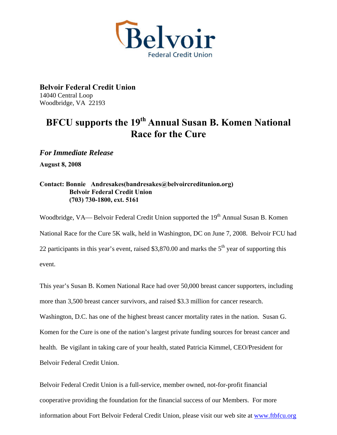

**Belvoir Federal Credit Union**  14040 Central Loop Woodbridge, VA 22193

## **BFCU supports the 19<sup>th</sup> Annual Susan B. Komen National Race for the Cure**

*For Immediate Release* 

**August 8, 2008** 

## **Contact: Bonnie Andresakes(bandresakes@belvoircreditunion.org) Belvoir Federal Credit Union (703) 730-1800, ext. 5161**

Woodbridge, VA— Belvoir Federal Credit Union supported the 19<sup>th</sup> Annual Susan B. Komen National Race for the Cure 5K walk, held in Washington, DC on June 7, 2008. Belvoir FCU had 22 participants in this year's event, raised \$3,870.00 and marks the  $5<sup>th</sup>$  year of supporting this event.

This year's Susan B. Komen National Race had over 50,000 breast cancer supporters, including more than 3,500 breast cancer survivors, and raised \$3.3 million for cancer research.

Washington, D.C. has one of the highest breast cancer mortality rates in the nation. Susan G.

Komen for the Cure is one of the nation's largest private funding sources for breast cancer and

health. Be vigilant in taking care of your health, stated Patricia Kimmel, CEO/President for

Belvoir Federal Credit Union.

Belvoir Federal Credit Union is a full-service, member owned, not-for-profit financial cooperative providing the foundation for the financial success of our Members. For more information about Fort Belvoir Federal Credit Union, please visit our web site at [www.ftbfcu.org](http://www.ftbfcu.org/)